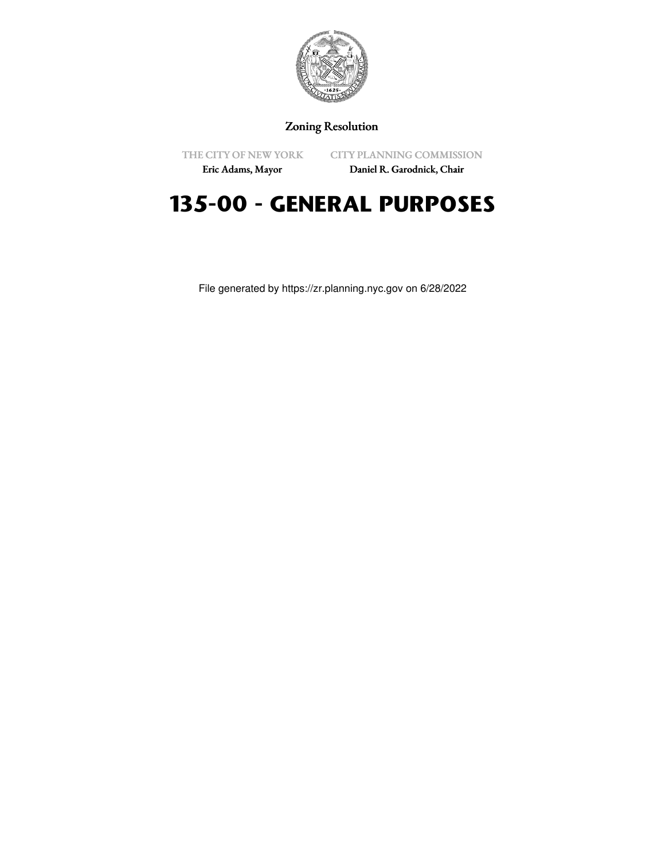

# Zoning Resolution

THE CITY OF NEW YORK Eric Adams, Mayor

CITY PLANNING COMMISSION

Daniel R. Garodnick, Chair

# **135-00 - GENERAL PURPOSES**

File generated by https://zr.planning.nyc.gov on 6/28/2022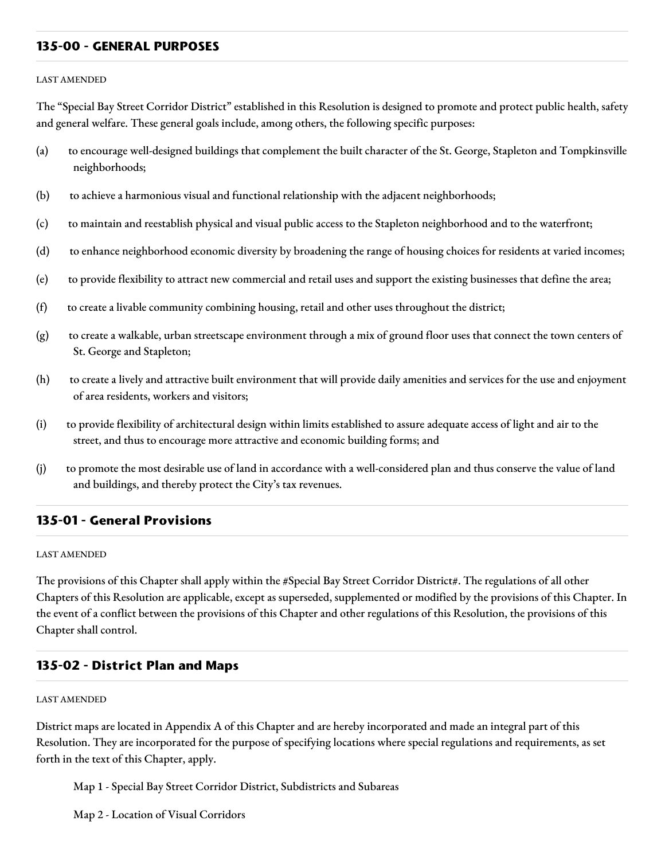#### **135-00 - GENERAL PURPOSES**

#### LAST AMENDED

The "Special Bay Street Corridor District" established in this Resolution is designed to promote and protect public health, safety and general welfare. These general goals include, among others, the following specific purposes:

- (a) to encourage well-designed buildings that complement the built character of the St. George, Stapleton and Tompkinsville neighborhoods;
- (b) to achieve a harmonious visual and functional relationship with the adjacent neighborhoods;
- (c) to maintain and reestablish physical and visual public access to the Stapleton neighborhood and to the waterfront;
- (d) to enhance neighborhood economic diversity by broadening the range of housing choices for residents at varied incomes;
- (e) to provide flexibility to attract new commercial and retail uses and support the existing businesses that define the area;
- (f) to create a livable community combining housing, retail and other uses throughout the district;
- (g) to create a walkable, urban streetscape environment through a mix of ground floor uses that connect the town centers of St. George and Stapleton;
- (h) to create a lively and attractive built environment that will provide daily amenities and services for the use and enjoyment of area residents, workers and visitors;
- (i) to provide flexibility of architectural design within limits established to assure adequate access of light and air to the street, and thus to encourage more attractive and economic building forms; and
- (j) to promote the most desirable use of land in accordance with a well-considered plan and thus conserve the value of land and buildings, and thereby protect the City's tax revenues.

## **135-01 - General Provisions**

#### LAST AMENDED

The provisions of this Chapter shall apply within the #Special Bay Street Corridor District#. The regulations of all other Chapters of this Resolution are applicable, except as superseded, supplemented or modified by the provisions of this Chapter. In the event of a conflict between the provisions of this Chapter and other regulations of this Resolution, the provisions of this Chapter shall control.

## **135-02 - District Plan and Maps**

#### LAST AMENDED

District maps are located in Appendix A of this Chapter and are hereby incorporated and made an integral part of this Resolution. They are incorporated for the purpose of specifying locations where special regulations and requirements, as set forth in the text of this Chapter, apply.

Map 1 - Special Bay Street Corridor District, Subdistricts and Subareas

Map 2 - Location of Visual Corridors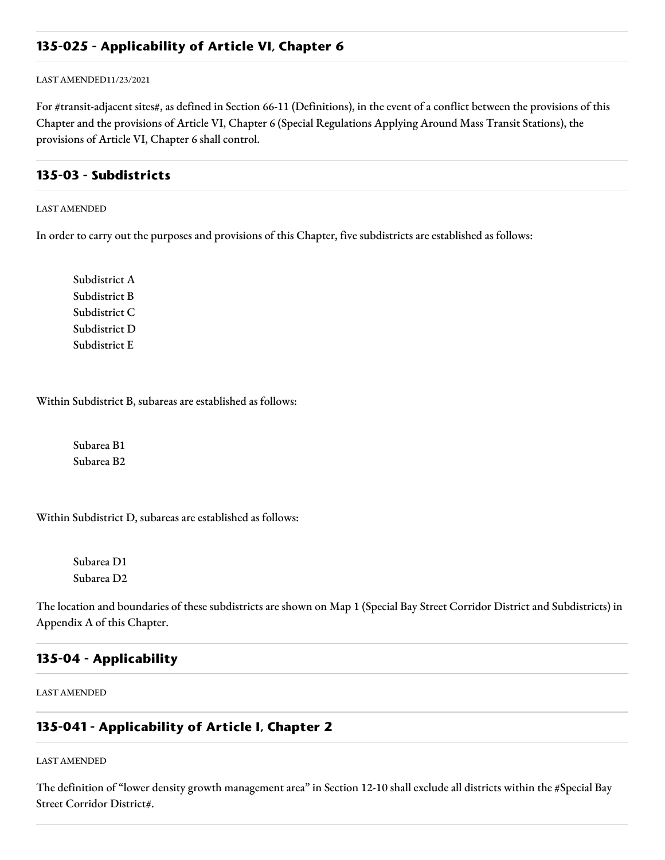## **135-025 - Applicability of Article VI, Chapter 6**

LAST AMENDED11/23/2021

For #transit-adjacent sites#, as defined in Section 66-11 (Definitions), in the event of a conflict between the provisions of this Chapter and the provisions of Article VI, Chapter 6 (Special Regulations Applying Around Mass Transit Stations), the provisions of Article VI, Chapter 6 shall control.

#### **135-03 - Subdistricts**

LAST AMENDED

In order to carry out the purposes and provisions of this Chapter, five subdistricts are established as follows:

Subdistrict A Subdistrict B Subdistrict C Subdistrict D Subdistrict E

Within Subdistrict B, subareas are established as follows:

Subarea B1 Subarea B2

Within Subdistrict D, subareas are established as follows:

Subarea D1 Subarea D2

The location and boundaries of these subdistricts are shown on Map 1 (Special Bay Street Corridor District and Subdistricts) in Appendix A of this Chapter.

## **135-04 - Applicability**

LAST AMENDED

#### **135-041 - Applicability of Article I, Chapter 2**

LAST AMENDED

The definition of "lower density growth management area" in Section 12-10 shall exclude all districts within the #Special Bay Street Corridor District#.